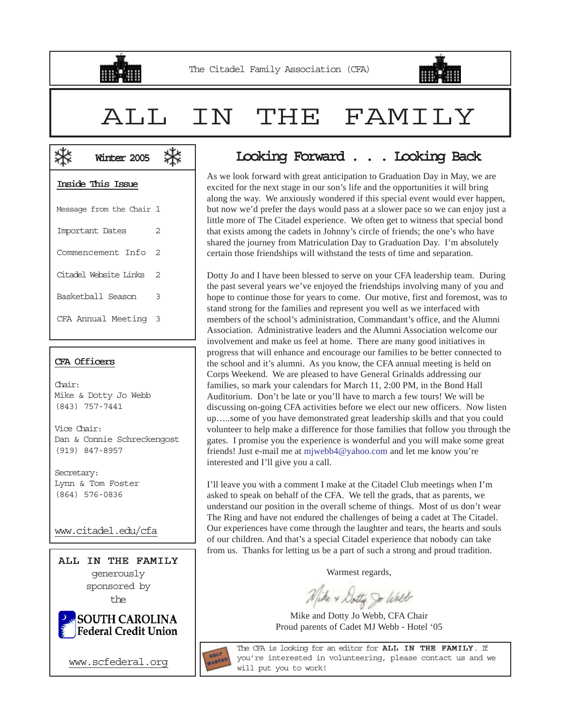



# ALL IN THE FAMILY

| Inside This Issue |  |  |
|-------------------|--|--|
|                   |  |  |

**米** Winter 2005

⋇

| Message from the Chair 1 |                |
|--------------------------|----------------|
| Important Dates          | 2              |
| Commencement Info        | $\mathfrak{D}$ |
| Citadel Website Links    | $\mathfrak{D}$ |
| Basketball Season        | 3              |
| CFA Annual Meeting 3     |                |
|                          |                |

### CFA Officers

Chair: Mike & Dotty Jo Webb (843) 757-7441

Vice Chair: Dan & Connie Schreckengost (919) 847-8957

Secretary: Lynn & Tom Foster (864) 576-0836

www.citadel.edu/cfa





www.scfederal.org

## Looking Forward . . . Looking Back

As we look forward with great anticipation to Graduation Day in May, we are excited for the next stage in our son's life and the opportunities it will bring along the way. We anxiously wondered if this special event would ever happen, but now we'd prefer the days would pass at a slower pace so we can enjoy just a little more of The Citadel experience. We often get to witness that special bond that exists among the cadets in Johnny's circle of friends; the one's who have shared the journey from Matriculation Day to Graduation Day. I'm absolutely certain those friendships will withstand the tests of time and separation.

Dotty Jo and I have been blessed to serve on your CFA leadership team. During the past several years we've enjoyed the friendships involving many of you and hope to continue those for years to come. Our motive, first and foremost, was to stand strong for the families and represent you well as we interfaced with members of the school's administration, Commandant's office, and the Alumni Association. Administrative leaders and the Alumni Association welcome our involvement and make us feel at home. There are many good initiatives in progress that will enhance and encourage our families to be better connected to the school and it's alumni. As you know, the CFA annual meeting is held on Corps Weekend. We are pleased to have General Grinalds addressing our families, so mark your calendars for March 11, 2:00 PM, in the Bond Hall Auditorium. Don't be late or you'll have to march a few tours! We will be discussing on-going CFA activities before we elect our new officers. Now listen up…..some of you have demonstrated great leadership skills and that you could volunteer to help make a difference for those families that follow you through the gates. I promise you the experience is wonderful and you will make some great friends! Just e-mail me at mjwebb4@yahoo.com and let me know you're interested and I'll give you a call.

I'll leave you with a comment I make at the Citadel Club meetings when I'm asked to speak on behalf of the CFA. We tell the grads, that as parents, we understand our position in the overall scheme of things. Most of us don't wear The Ring and have not endured the challenges of being a cadet at The Citadel. Our experiences have come through the laughter and tears, the hearts and souls of our children. And that's a special Citadel experience that nobody can take from us. Thanks for letting us be a part of such a strong and proud tradition.

Warmest regards,

Wike & Dotty So Walt

Mike and Dotty Jo Webb, CFA Chair Proud parents of Cadet MJ Webb - Hotel '05



The CFA is looking for an editor for ALL IN THE FAMILY. If you're interested in volunteering, please contact us and we will put you to work!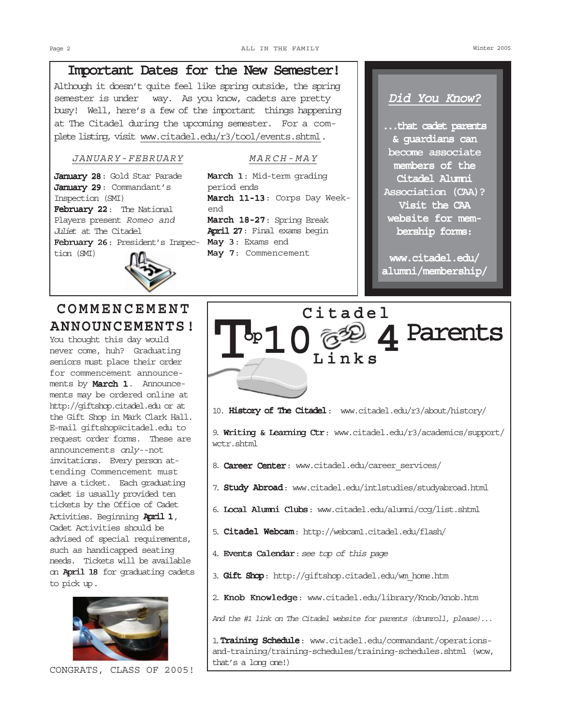## Important Dates for the New Semester!

Although it doesn't quite feel like spring outside, the spring semester is under way. As you know, cadets are pretty busy! Well, here's a few of the important things happening at The Citadel during the upcoming semester. For a complete listing, visit www.citadel.edu/r3/tool/events.shtml.

### JANUARY-FEBRUARY MARCH-MAY

January 28: Gold Star Parade January 29: Commandant's Inspection (SMI) February 22: The National Players present Romeo and Juliet at The Citadel February 26: President's Inspec- May 3: Exams end tion (SMI)



## COMMENCEMENT ANNOUNCEMENTS!

You thought this day would never come, huh? Graduating seniors must place their order for commencement announcements by March 1. Announcements may be ordered online at http://giftshop.citadel.edu or at the Gift Shop in Mark Clark Hall. E-mail giftshop@citadel.edu to request order forms. These are announcements only--not invitations. Every person attending Commencement must have a ticket. Each graduating cadet is usually provided ten tickets by the Office of Cadet Activities. Beginning April 1, Cadet Activities should be advised of special requirements, such as handicapped seating needs. Tickets will be available on April 18 for graduating cadets to pick up.



CONGRATS, CLASS OF 2005!

March 1: Mid-term grading period ends March 11-13: Corps Day Weekend March 18-27: Spring Break April 27: Final exams begin May 7: Commencement

## Did You Know?

...that cadet parents & guardians can become associate members of the Citadel Alumni Association (CAA)? Visit the CAA website for membership forms:

www.citadel.edu/ alumni/membership/



10. History of The Citadel: www.citadel.edu/r3/about/history/

9. Writing & Learning Ctr: www.citadel.edu/r3/academics/support/ wctr.shtml

- 8. Career Center: www.citadel.edu/career services/
- 7. Study Abroad: www.citadel.edu/intlstudies/studyabroad.html
- 6. Local Alumni Clubs: www.citadel.edu/alumni/ccq/list.shtml
- 5. Citadel Webcam: http://webcam1.citadel.edu/flash/
- 4. Events Calendar: see top of this page
- 3. Gift Shop: http://giftshop.citadel.edu/wm home.htm
- 2. Knob Knowledge: www.citadel.edu/library/Knob/knob.htm

And the #1 link on The Citadel website for parents (drumroll, please)...

1. Training Schedule: www.citadel.edu/commandant/operationsand-training/training-schedules/training-schedules.shtml (wow, that's a long one!)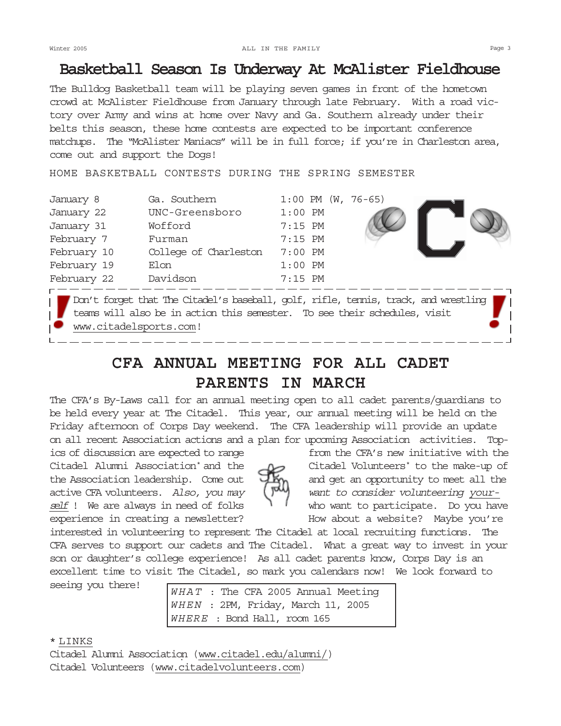## Basketball Season Is Underway At McAlister Fieldhouse

The Bulldog Basketball team will be playing seven games in front of the hometown crowd at McAlister Fieldhouse from January through late February. With a road victory over Army and wins at home over Navy and Ga. Southern already under their belts this season, these home contests are expected to be important conference matchups. The "McAlister Maniacs" will be in full force; if you're in Charleston area, come out and support the Dogs!

HOME BASKETBALL CONTESTS DURING THE SPRING SEMESTER

| January 8   | Ga. Southern          | $1:00$ PM (W, 76-65) |  |
|-------------|-----------------------|----------------------|--|
| January 22  | UNC-Greensboro        | $1:00$ PM            |  |
| January 31  | Wofford               | $7:15$ PM            |  |
| February 7  | Furman                | $7:15$ PM            |  |
| February 10 | College of Charleston | $7:00$ PM            |  |
| February 19 | Elon                  | $1:00$ PM            |  |
| February 22 | Davidson              | $7:15$ PM            |  |
|             |                       |                      |  |

Don't forget that The Citadel's baseball, golf, rifle, tennis, track, and wrestling teams will also be in action this semester. To see their schedules, visit www.citadelsports.com!

## CFA ANNUAL MEETING FOR ALL CADET PARENTS IN MARCH

The CFA's By-Laws call for an annual meeting open to all cadet parents/guardians to be held every year at The Citadel. This year, our annual meeting will be held on the Friday afternoon of Corps Day weekend. The CFA leadership will provide an update on all recent Association actions and a plan for upcoming Association activities. Top-

ics of discussion are expected to range from the CFA's new initiative with the Citadel Alumni Association<sup>\*</sup> and the the Association leadership. Come out  $\Box$  and get an opportunity to meet all the active CFA volunteers. Also, you may  $\left(\begin{matrix} \mathbf{w} \\ \mathbf{w} \end{matrix}\right)$  want to consider volunteering yourexperience in creating a newsletter? How about a website? Maybe you're

Citadel Volunteers<sup>\*</sup> to the make-up of self ! We are always in need of folks  $\frac{1}{1}$  who want to participate. Do you have

interested in volunteering to represent The Citadel at local recruiting functions. The CFA serves to support our cadets and The Citadel. What a great way to invest in your son or daughter's college experience! As all cadet parents know, Corps Day is an excellent time to visit The Citadel, so mark you calendars now! We look forward to

seeing you there!  $WHAT$  : The CFA 2005 Annual Meeting WHEN : 2PM, Friday, March 11, 2005 WHERE : Bond Hall, room 165

## \* LINKS

Citadel Alumni Association (www.citadel.edu/alumni/) Citadel Volunteers (www.citadelvolunteers.com)